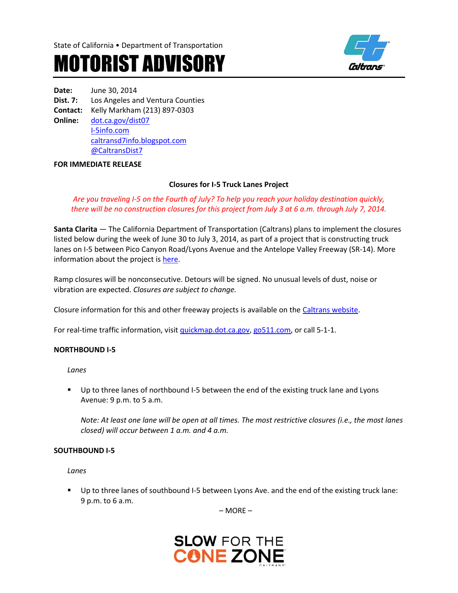



**Date:** June 30, 2014 **Dist. 7:** Los Angeles and Ventura Counties **Contact:** Kelly Markham (213) 897-0303 **Online:** [dot.ca.gov/dist07](http://www.dot.ca.gov/dist07) [I-5info.com](http://www.i-5info.com/) [caltransd7info.blogspot.com](http://caltransd7info.blogspot.com/) @CaltransDist7

#### **FOR IMMEDIATE RELEASE**

### **Closures for I-5 Truck Lanes Project**

*Are you traveling I-5 on the Fourth of July? To help you reach your holiday destination quickly, there will be no construction closures for this project from July 3 at 6 a.m. through July 7, 2014.* 

**Santa Clarita** — The California Department of Transportation (Caltrans) plans to implement the closures listed below during the week of June 30 to July 3, 2014, as part of a project that is constructing truck lanes on I-5 between Pico Canyon Road/Lyons Avenue and the Antelope Valley Freeway (SR-14). More information about the project i[s here.](http://i-5info.com/antelope-valley-freeway-sr-14-to-pico-canyon-road/)

Ramp closures will be nonconsecutive. Detours will be signed. No unusual levels of dust, noise or vibration are expected. *Closures are subject to change.*

Closure information for this and other freeway projects is available on th[e Caltrans website.](http://www.lcswebreports.dot.ca.gov/lcswebreports/SearchPreAction.do?district=7)

For real-time traffic information, visi[t quickmap.dot.ca.gov,](http://quickmap.dot.ca.gov/) [go511.com,](http://go511.com/) or call 5-1-1.

#### **NORTHBOUND I-5**

*Lanes*

**Up to three lanes of northbound I-5 between the end of the existing truck lane and Lyons** Avenue: 9 p.m. to 5 a.m.

*Note: At least one lane will be open at all times. The most restrictive closures (i.e., the most lanes closed) will occur between 1 a.m. and 4 a.m.*

#### **SOUTHBOUND I-5**

*Lanes*

 Up to three lanes of southbound I-5 between Lyons Ave. and the end of the existing truck lane: 9 p.m. to 6 a.m.

– MORE –